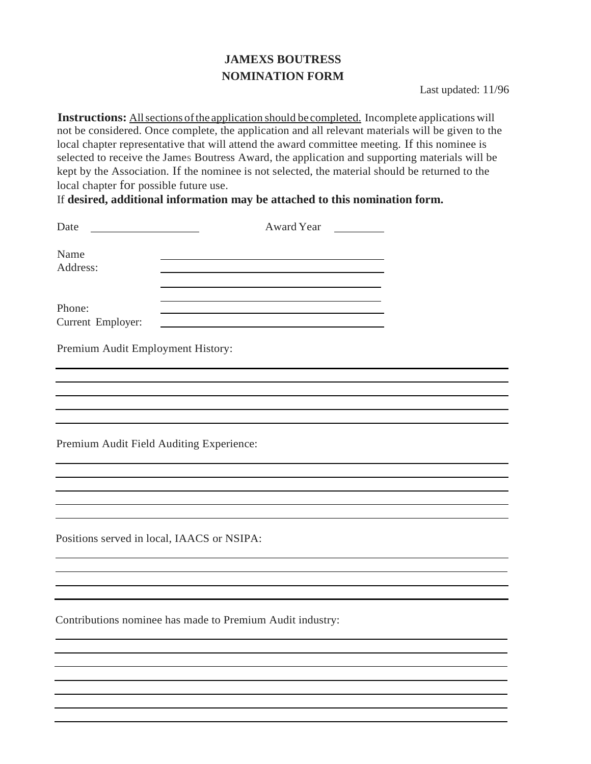## **JAMEXS BOUTRESS NOMINATION FORM**

Last updated: 11/96

**Instructions:** All sections of the application should be completed. Incomplete applications will not be considered. Once complete, the application and all relevant materials will be given to the local chapter representative that will attend the award committee meeting. If this nominee is selected to receive the James Boutress Award, the application and supporting materials will be kept by the Association. If the nominee is not selected, the material should be returned to the local chapter for possible future use.

If **desired, additional information may be attached to this nomination form.**

| Date<br><u> 1980 - Jan Barbara Barbara, manazarta </u> | Award Year                                                |  |
|--------------------------------------------------------|-----------------------------------------------------------|--|
| Name<br>Address:                                       |                                                           |  |
| Phone:<br>Current Employer:                            |                                                           |  |
| Premium Audit Employment History:                      |                                                           |  |
|                                                        |                                                           |  |
|                                                        |                                                           |  |
|                                                        |                                                           |  |
| Premium Audit Field Auditing Experience:               |                                                           |  |
|                                                        |                                                           |  |
|                                                        |                                                           |  |
|                                                        |                                                           |  |
| Positions served in local, IAACS or NSIPA:             |                                                           |  |
|                                                        |                                                           |  |
|                                                        |                                                           |  |
|                                                        |                                                           |  |
|                                                        | Contributions nominee has made to Premium Audit industry: |  |
|                                                        |                                                           |  |
|                                                        |                                                           |  |
|                                                        |                                                           |  |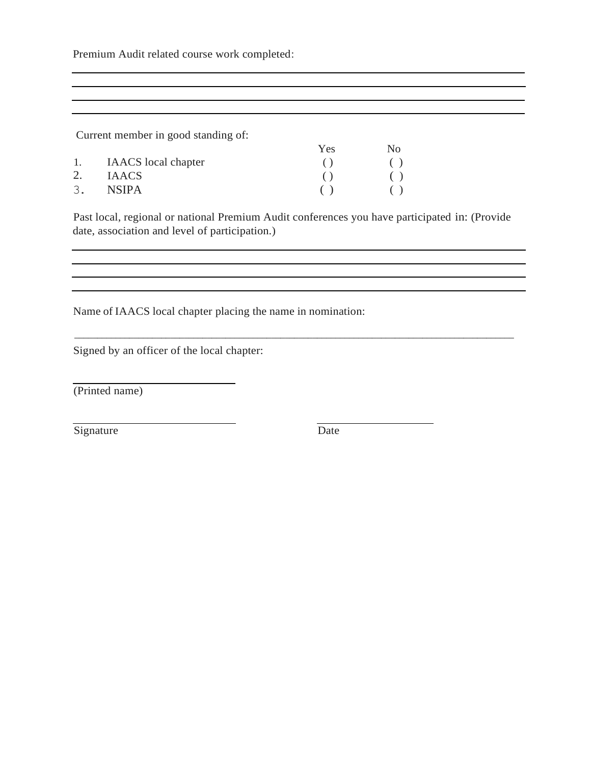Premium Audit related course work completed:

Current member in good standing of:

|    |                     | <b>Yes</b> | No- |
|----|---------------------|------------|-----|
| 1. | IAACS local chapter |            | ( ) |
| 2. | <b>IAACS</b>        |            |     |
| 3. | <b>NSIPA</b>        |            |     |

Past local, regional or national Premium Audit conferences you have participated in: (Provide date, association and level of participation.)

\_\_\_\_\_\_\_\_\_\_\_\_\_\_\_\_\_\_\_\_\_\_\_\_\_\_\_\_\_\_\_\_\_\_\_\_\_\_\_\_\_\_\_\_\_\_\_\_\_\_\_\_\_\_\_\_\_\_\_\_\_\_\_\_\_\_\_\_\_\_\_\_\_\_\_\_\_\_\_\_\_\_\_\_\_\_\_\_\_\_\_\_\_\_\_\_

<u> 1989 - Johann Stoff, deutscher Stoff, der Stoff, der Stoff, der Stoff, der Stoff, der Stoff, der Stoff, der S</u>

Name of IAACS local chapter placing the name in nomination:

Signed by an officer of the local chapter:

(Printed name)

Signature Date